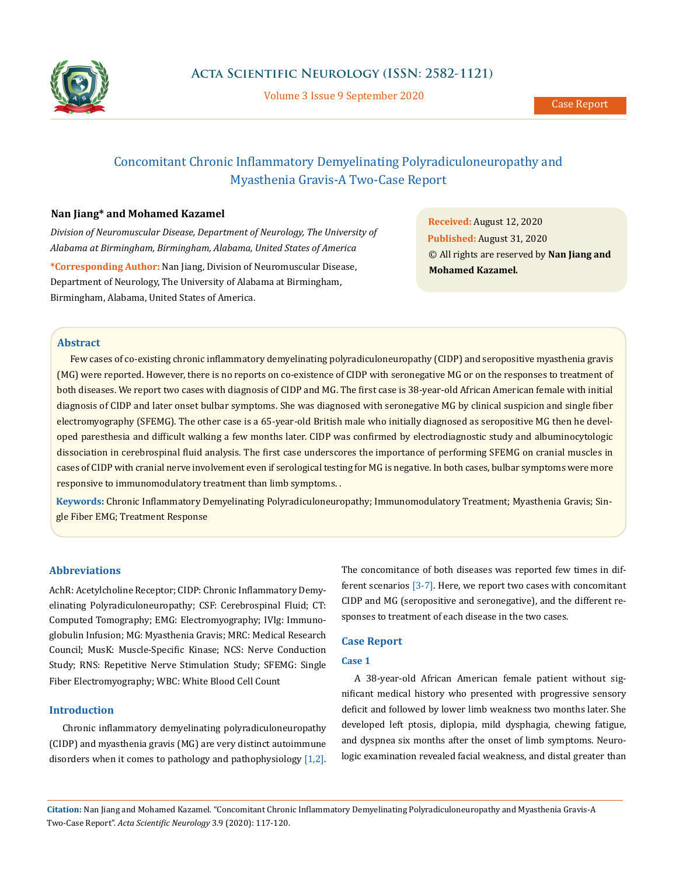

Volume 3 Issue 9 September 2020

# Concomitant Chronic Inflammatory Demyelinating Polyradiculoneuropathy and Myasthenia Gravis-A Two-Case Report

## **Nan Jiang\* and Mohamed Kazamel**

*Division of Neuromuscular Disease, Department of Neurology, The University of Alabama at Birmingham, Birmingham, Alabama, United States of America*

**\*Corresponding Author:** Nan Jiang, Division of Neuromuscular Disease, Department of Neurology, The University of Alabama at Birmingham, Birmingham, Alabama, United States of America.

**Received:** August 12, 2020 **Published:** August 31, 2020 © All rights are reserved by **Nan Jiang and Mohamed Kazamel***.*

## **Abstract**

Few cases of co-existing chronic inflammatory demyelinating polyradiculoneuropathy (CIDP) and seropositive myasthenia gravis (MG) were reported. However, there is no reports on co-existence of CIDP with seronegative MG or on the responses to treatment of both diseases. We report two cases with diagnosis of CIDP and MG. The first case is 38-year-old African American female with initial diagnosis of CIDP and later onset bulbar symptoms. She was diagnosed with seronegative MG by clinical suspicion and single fiber electromyography (SFEMG). The other case is a 65-year-old British male who initially diagnosed as seropositive MG then he developed paresthesia and difficult walking a few months later. CIDP was confirmed by electrodiagnostic study and albuminocytologic dissociation in cerebrospinal fluid analysis. The first case underscores the importance of performing SFEMG on cranial muscles in cases of CIDP with cranial nerve involvement even if serological testing for MG is negative. In both cases, bulbar symptoms were more responsive to immunomodulatory treatment than limb symptoms. .

**Keywords:** Chronic Inflammatory Demyelinating Polyradiculoneuropathy; Immunomodulatory Treatment; Myasthenia Gravis; Single Fiber EMG; Treatment Response

#### **Abbreviations**

AchR: Acetylcholine Receptor; CIDP: Chronic Inflammatory Demyelinating Polyradiculoneuropathy; CSF: Cerebrospinal Fluid; CT: Computed Tomography; EMG: Electromyography; IVIg: Immunoglobulin Infusion; MG: Myasthenia Gravis; MRC: Medical Research Council; MusK: Muscle-Specific Kinase; NCS: Nerve Conduction Study; RNS: Repetitive Nerve Stimulation Study; SFEMG: Single Fiber Electromyography; WBC: White Blood Cell Count

#### **Introduction**

Chronic inflammatory demyelinating polyradiculoneuropathy (CIDP) and myasthenia gravis (MG) are very distinct autoimmune disorders when it comes to pathology and pathophysiology [1,2].

The concomitance of both diseases was reported few times in different scenarios [3-7]. Here, we report two cases with concomitant CIDP and MG (seropositive and seronegative), and the different responses to treatment of each disease in the two cases.

## **Case Report**

### **Case 1**

A 38-year-old African American female patient without significant medical history who presented with progressive sensory deficit and followed by lower limb weakness two months later. She developed left ptosis, diplopia, mild dysphagia, chewing fatigue, and dyspnea six months after the onset of limb symptoms. Neurologic examination revealed facial weakness, and distal greater than

**Citation:** Nan Jiang and Mohamed Kazamel*.* "Concomitant Chronic Inflammatory Demyelinating Polyradiculoneuropathy and Myasthenia Gravis-A Two-Case Report". *Acta Scientific Neurology* 3.9 (2020): 117-120.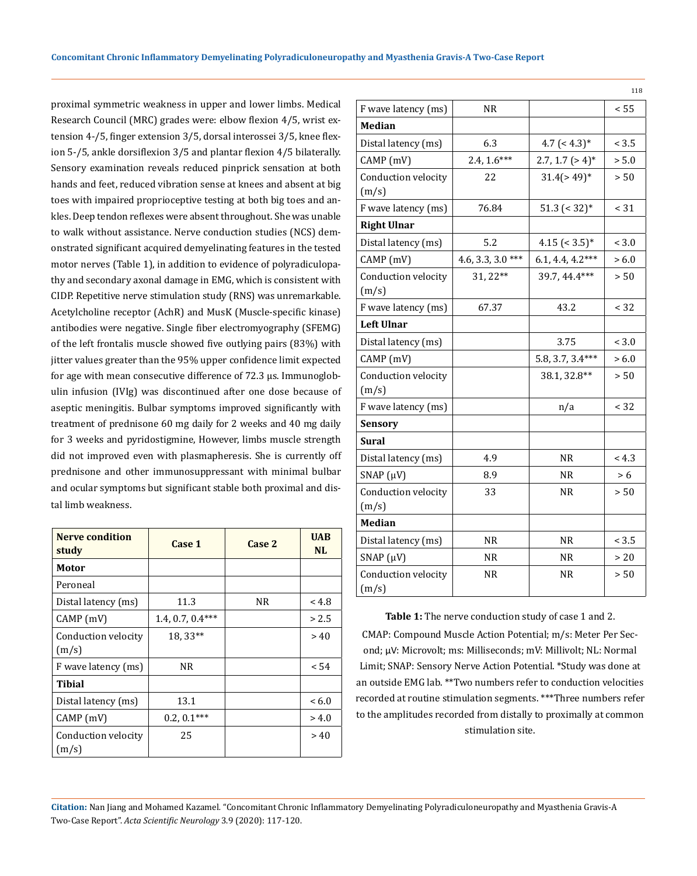proximal symmetric weakness in upper and lower limbs. Medical Research Council (MRC) grades were: elbow flexion 4/5, wrist extension 4-/5, finger extension 3/5, dorsal interossei 3/5, knee flexion 5-/5, ankle dorsiflexion 3/5 and plantar flexion 4/5 bilaterally. Sensory examination reveals reduced pinprick sensation at both hands and feet, reduced vibration sense at knees and absent at big toes with impaired proprioceptive testing at both big toes and ankles. Deep tendon reflexes were absent throughout. She was unable to walk without assistance. Nerve conduction studies (NCS) demonstrated significant acquired demyelinating features in the tested motor nerves (Table 1), in addition to evidence of polyradiculopathy and secondary axonal damage in EMG, which is consistent with CIDP. Repetitive nerve stimulation study (RNS) was unremarkable. Acetylcholine receptor (AchR) and MusK (Muscle-specific kinase) antibodies were negative. Single fiber electromyography (SFEMG) of the left frontalis muscle showed five outlying pairs (83%) with jitter values greater than the 95% upper confidence limit expected for age with mean consecutive difference of 72.3 µs. Immunoglobulin infusion (IVIg) was discontinued after one dose because of aseptic meningitis. Bulbar symptoms improved significantly with treatment of prednisone 60 mg daily for 2 weeks and 40 mg daily for 3 weeks and pyridostigmine, However, limbs muscle strength did not improved even with plasmapheresis. She is currently off prednisone and other immunosuppressant with minimal bulbar and ocular symptoms but significant stable both proximal and distal limb weakness.

| <b>Nerve condition</b><br>study | Case 1             | Case 2 | <b>UAB</b><br><b>NL</b> |
|---------------------------------|--------------------|--------|-------------------------|
| Motor                           |                    |        |                         |
| Peroneal                        |                    |        |                         |
| Distal latency (ms)             | 11.3               | NR.    | < 4.8                   |
| CAMP(mV)                        | $1.4, 0.7, 0.4***$ |        | > 2.5                   |
| Conduction velocity             | 18, 33**           |        | > 40                    |
| (m/s)                           |                    |        |                         |
| F wave latency (ms)             | NR.                |        | < 54                    |
| Tibial                          |                    |        |                         |
| Distal latency (ms)             | 13.1               |        | < 6.0                   |
| CAMP (mV)                       | $0.2, 0.1***$      |        | > 4.0                   |
| Conduction velocity<br>(m/s)    | 25                 |        | > 40                    |

|                              |                   |                               | 118   |
|------------------------------|-------------------|-------------------------------|-------|
| F wave latency (ms)          | NR                |                               | < 55  |
| Median                       |                   |                               |       |
| Distal latency (ms)          | 6.3               | 4.7 $(4.3)*$                  | < 3.5 |
| CAMP (mV)                    | $2.4, 1.6***$     | $2.7, 1.7$ (> 4) <sup>*</sup> | > 5.0 |
| Conduction velocity<br>(m/s) | 22                | $31.4$ (>49) <sup>*</sup>     | > 50  |
| F wave latency (ms)          | 76.84             | $51.3$ (< 32) <sup>*</sup>    | < 31  |
| <b>Right Ulnar</b>           |                   |                               |       |
| Distal latency (ms)          | 5.2               | $4.15$ (< 3.5)*               | < 3.0 |
| CAMP(mV)                     | 4.6, 3.3, 3.0 *** | $6.1, 4.4, 4.2***$            | > 6.0 |
| Conduction velocity<br>(m/s) | 31, 22**          | 39.7, 44.4***                 | > 50  |
| F wave latency (ms)          | 67.37             | 43.2                          | < 32  |
| <b>Left Ulnar</b>            |                   |                               |       |
| Distal latency (ms)          |                   | 3.75                          | < 3.0 |
| CAMP (mV)                    |                   | 5.8, 3.7, 3.4***              | > 6.0 |
| Conduction velocity<br>(m/s) |                   | 38.1, 32.8**                  | > 50  |
| F wave latency (ms)          |                   | n/a                           | < 32  |
| <b>Sensory</b>               |                   |                               |       |
| Sural                        |                   |                               |       |
| Distal latency (ms)          | 4.9               | NR                            | < 4.3 |
| SNAP $(\mu V)$               | 8.9               | NR.                           | > 6   |
| Conduction velocity<br>(m/s) | 33                | NR.                           | > 50  |
| <b>Median</b>                |                   |                               |       |
| Distal latency (ms)          | NR.               | NR.                           | < 3.5 |
| SNAP $(\mu V)$               | NR                | NR.                           | > 20  |
| Conduction velocity<br>(m/s) | NR.               | NR.                           | > 50  |

Table 1: The nerve conduction study of case 1 and 2.

CMAP: Compound Muscle Action Potential; m/s: Meter Per Second; μV: Microvolt; ms: Milliseconds; mV: Millivolt; NL: Normal Limit; SNAP: Sensory Nerve Action Potential. \*Study was done at an outside EMG lab. \*\*Two numbers refer to conduction velocities recorded at routine stimulation segments. \*\*\*Three numbers refer to the amplitudes recorded from distally to proximally at common stimulation site.

**Citation:** Nan Jiang and Mohamed Kazamel*.* "Concomitant Chronic Inflammatory Demyelinating Polyradiculoneuropathy and Myasthenia Gravis-A Two-Case Report". *Acta Scientific Neurology* 3.9 (2020): 117-120.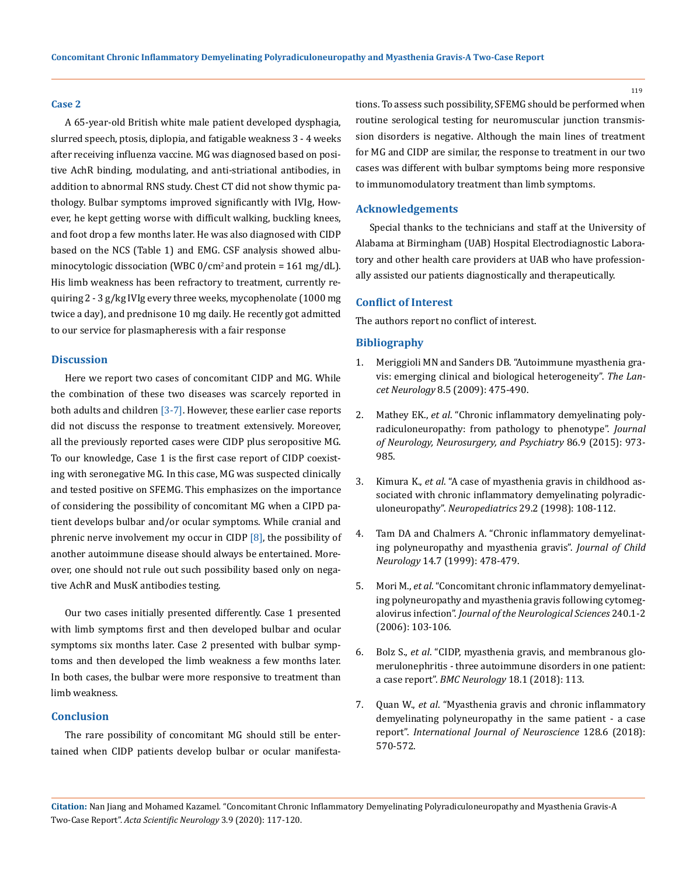#### **Case 2**

A 65-year-old British white male patient developed dysphagia, slurred speech, ptosis, diplopia, and fatigable weakness 3 - 4 weeks after receiving influenza vaccine. MG was diagnosed based on positive AchR binding, modulating, and anti-striational antibodies, in addition to abnormal RNS study. Chest CT did not show thymic pathology. Bulbar symptoms improved significantly with IVIg, However, he kept getting worse with difficult walking, buckling knees, and foot drop a few months later. He was also diagnosed with CIDP based on the NCS (Table 1) and EMG. CSF analysis showed albuminocytologic dissociation (WBC  $0/cm^2$  and protein = 161 mg/dL). His limb weakness has been refractory to treatment, currently requiring 2 - 3 g/kg IVIg every three weeks, mycophenolate (1000 mg twice a day), and prednisone 10 mg daily. He recently got admitted to our service for plasmapheresis with a fair response

## **Discussion**

Here we report two cases of concomitant CIDP and MG. While the combination of these two diseases was scarcely reported in both adults and children [3-7]. However, these earlier case reports did not discuss the response to treatment extensively. Moreover, all the previously reported cases were CIDP plus seropositive MG. To our knowledge, Case 1 is the first case report of CIDP coexisting with seronegative MG. In this case, MG was suspected clinically and tested positive on SFEMG. This emphasizes on the importance of considering the possibility of concomitant MG when a CIPD patient develops bulbar and/or ocular symptoms. While cranial and phrenic nerve involvement my occur in CIDP [8], the possibility of another autoimmune disease should always be entertained. Moreover, one should not rule out such possibility based only on negative AchR and MusK antibodies testing.

Our two cases initially presented differently. Case 1 presented with limb symptoms first and then developed bulbar and ocular symptoms six months later. Case 2 presented with bulbar symptoms and then developed the limb weakness a few months later. In both cases, the bulbar were more responsive to treatment than limb weakness.

#### **Conclusion**

The rare possibility of concomitant MG should still be entertained when CIDP patients develop bulbar or ocular manifestations. To assess such possibility, SFEMG should be performed when routine serological testing for neuromuscular junction transmission disorders is negative. Although the main lines of treatment for MG and CIDP are similar, the response to treatment in our two cases was different with bulbar symptoms being more responsive to immunomodulatory treatment than limb symptoms.

#### **Acknowledgements**

Special thanks to the technicians and staff at the University of Alabama at Birmingham (UAB) Hospital Electrodiagnostic Laboratory and other health care providers at UAB who have professionally assisted our patients diagnostically and therapeutically.

#### **Conflict of Interest**

The authors report no conflict of interest.

#### **Bibliography**

- 1. [Meriggioli MN and Sanders DB. "Autoimmune myasthenia gra](https://pubmed.ncbi.nlm.nih.gov/19375665/)[vis: emerging clinical and biological heterogeneity".](https://pubmed.ncbi.nlm.nih.gov/19375665/) *The Lancet Neurology* [8.5 \(2009\): 475-490.](https://pubmed.ncbi.nlm.nih.gov/19375665/)
- 2. Mathey EK., *et al*[. "Chronic inflammatory demyelinating poly](https://pubmed.ncbi.nlm.nih.gov/25677463/)[radiculoneuropathy: from pathology to phenotype".](https://pubmed.ncbi.nlm.nih.gov/25677463/) *Journal [of Neurology, Neurosurgery, and Psychiatry](https://pubmed.ncbi.nlm.nih.gov/25677463/)* 86.9 (2015): 973- [985.](https://pubmed.ncbi.nlm.nih.gov/25677463/)
- 3. Kimura K., *et al*[. "A case of myasthenia gravis in childhood as](https://pubmed.ncbi.nlm.nih.gov/9638666/)[sociated with chronic inflammatory demyelinating polyradic](https://pubmed.ncbi.nlm.nih.gov/9638666/)uloneuropathy". *Neuropediatrics* [29.2 \(1998\): 108-112.](https://pubmed.ncbi.nlm.nih.gov/9638666/)
- 4. [Tam DA and Chalmers A. "Chronic inflammatory demyelinat](https://journals.sagepub.com/doi/abs/10.1177/088307389901400715)[ing polyneuropathy and myasthenia gravis".](https://journals.sagepub.com/doi/abs/10.1177/088307389901400715) *Journal of Child Neurology* [14.7 \(1999\): 478-479.](https://journals.sagepub.com/doi/abs/10.1177/088307389901400715)
- 5. Mori M., *et al*[. "Concomitant chronic inflammatory demyelinat](https://pubmed.ncbi.nlm.nih.gov/16236323/)[ing polyneuropathy and myasthenia gravis following cytomeg](https://pubmed.ncbi.nlm.nih.gov/16236323/)alovirus infection". *[Journal of the Neurological Sciences](https://pubmed.ncbi.nlm.nih.gov/16236323/)* 240.1-2 [\(2006\): 103-106.](https://pubmed.ncbi.nlm.nih.gov/16236323/)
- 6. Bolz S., *et al*[. "CIDP, myasthenia gravis, and membranous glo](https://bmcneurol.biomedcentral.com/articles/10.1186/s12883-018-1120-6)[merulonephritis - three autoimmune disorders in one patient:](https://bmcneurol.biomedcentral.com/articles/10.1186/s12883-018-1120-6) a case report". *[BMC Neurology](https://bmcneurol.biomedcentral.com/articles/10.1186/s12883-018-1120-6)* 18.1 (2018): 113.
- 7. Quan W., *et al*[. "Myasthenia gravis and chronic inflammatory](https://pubmed.ncbi.nlm.nih.gov/29073825/) [demyelinating polyneuropathy in the same patient - a case](https://pubmed.ncbi.nlm.nih.gov/29073825/) report". *[International Journal of Neuroscience](https://pubmed.ncbi.nlm.nih.gov/29073825/)* 128.6 (2018): [570-572.](https://pubmed.ncbi.nlm.nih.gov/29073825/)

**Citation:** Nan Jiang and Mohamed Kazamel*.* "Concomitant Chronic Inflammatory Demyelinating Polyradiculoneuropathy and Myasthenia Gravis-A Two-Case Report". *Acta Scientific Neurology* 3.9 (2020): 117-120.

119